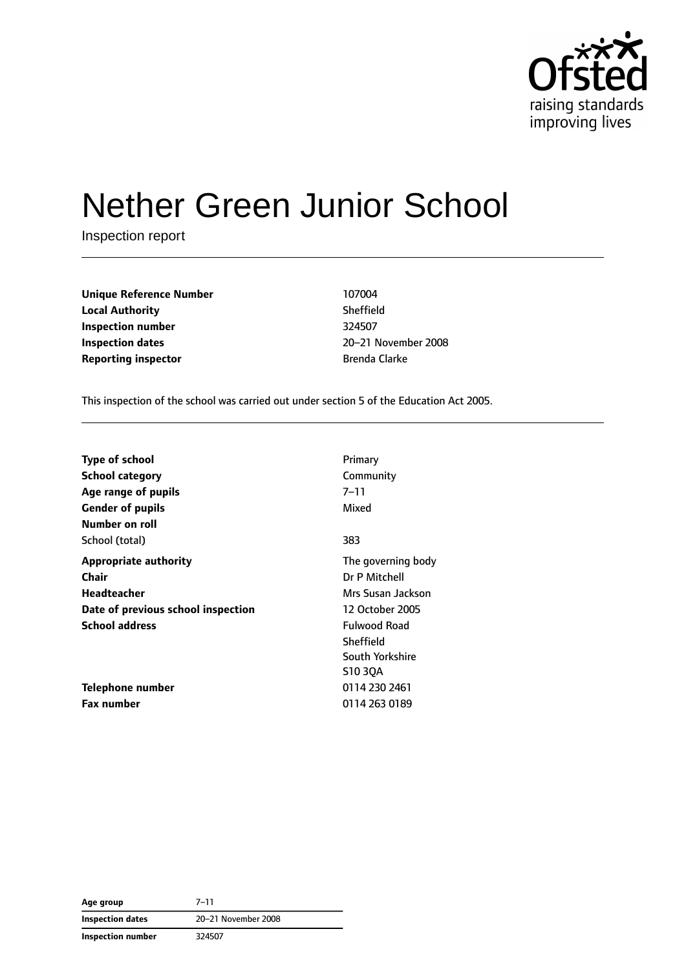

# Nether Green Junior School

Inspection report

**Unique Reference Number** 107004 **Local Authority** Sheffield **Inspection number** 324507 **Inspection dates** 20–21 November 2008 **Reporting inspector Brenda Clarke** 

This inspection of the school was carried out under section 5 of the Education Act 2005.

| <b>Type of school</b>              | Primary            |
|------------------------------------|--------------------|
| <b>School category</b>             | Community          |
| Age range of pupils                | 7–11               |
| <b>Gender of pupils</b>            | Mixed              |
| Number on roll                     |                    |
| School (total)                     | 383                |
| <b>Appropriate authority</b>       | The governing body |
| Chair                              | Dr P Mitchell      |
| Headteacher                        | Mrs Susan Jackson  |
| Date of previous school inspection | 12 October 2005    |
| <b>School address</b>              | Fulwood Road       |
|                                    | Sheffield          |
|                                    | South Yorkshire    |
|                                    | S1030A             |
| Telephone number                   | 0114 230 2461      |
| <b>Fax number</b>                  | 0114 263 0189      |

**Age group** 7–11 **Inspection dates** 20–21 November 2008 **Inspection number** 324507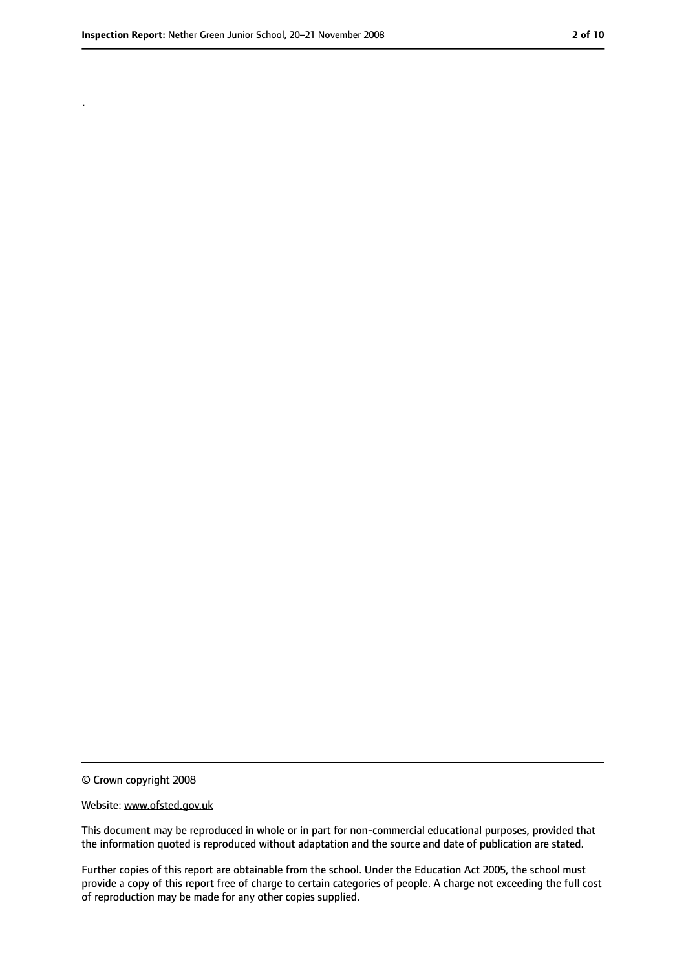.

<sup>©</sup> Crown copyright 2008

Website: www.ofsted.gov.uk

This document may be reproduced in whole or in part for non-commercial educational purposes, provided that the information quoted is reproduced without adaptation and the source and date of publication are stated.

Further copies of this report are obtainable from the school. Under the Education Act 2005, the school must provide a copy of this report free of charge to certain categories of people. A charge not exceeding the full cost of reproduction may be made for any other copies supplied.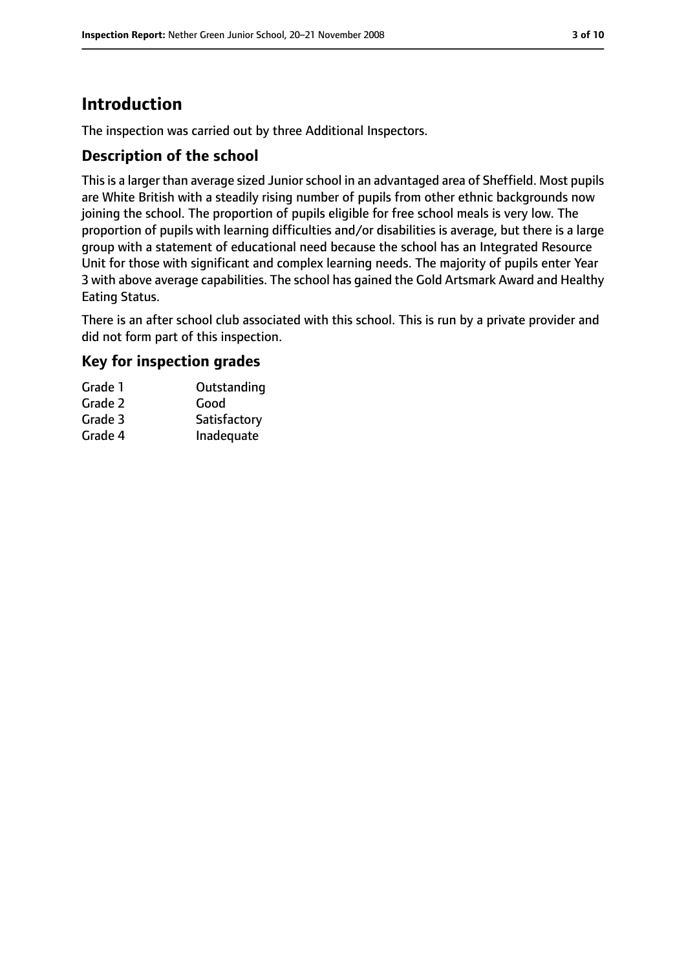# **Introduction**

The inspection was carried out by three Additional Inspectors.

## **Description of the school**

This is a larger than average sized Junior school in an advantaged area of Sheffield. Most pupils are White British with a steadily rising number of pupils from other ethnic backgrounds now joining the school. The proportion of pupils eligible for free school meals is very low. The proportion of pupils with learning difficulties and/or disabilities is average, but there is a large group with a statement of educational need because the school has an Integrated Resource Unit for those with significant and complex learning needs. The majority of pupils enter Year 3 with above average capabilities. The school has gained the Gold Artsmark Award and Healthy Eating Status.

There is an after school club associated with this school. This is run by a private provider and did not form part of this inspection.

# **Key for inspection grades**

| Grade 1 | Outstanding  |
|---------|--------------|
| Grade 2 | Good         |
| Grade 3 | Satisfactory |
| Grade 4 | Inadequate   |
|         |              |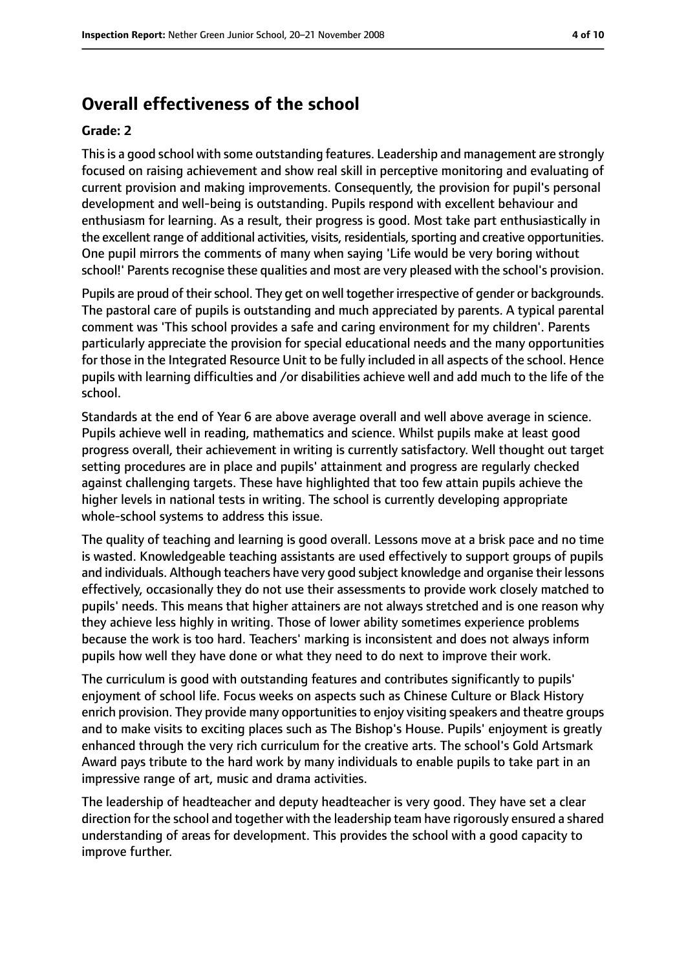# **Overall effectiveness of the school**

#### **Grade: 2**

Thisis a good school with some outstanding features. Leadership and management are strongly focused on raising achievement and show real skill in perceptive monitoring and evaluating of current provision and making improvements. Consequently, the provision for pupil's personal development and well-being is outstanding. Pupils respond with excellent behaviour and enthusiasm for learning. As a result, their progress is good. Most take part enthusiastically in the excellent range of additional activities, visits, residentials, sporting and creative opportunities. One pupil mirrors the comments of many when saying 'Life would be very boring without school!' Parents recognise these qualities and most are very pleased with the school's provision.

Pupils are proud of their school. They get on well together irrespective of gender or backgrounds. The pastoral care of pupils is outstanding and much appreciated by parents. A typical parental comment was 'This school provides a safe and caring environment for my children'. Parents particularly appreciate the provision for special educational needs and the many opportunities for those in the Integrated Resource Unit to be fully included in all aspects of the school. Hence pupils with learning difficulties and /or disabilities achieve well and add much to the life of the school.

Standards at the end of Year 6 are above average overall and well above average in science. Pupils achieve well in reading, mathematics and science. Whilst pupils make at least good progress overall, their achievement in writing is currently satisfactory. Well thought out target setting procedures are in place and pupils' attainment and progress are regularly checked against challenging targets. These have highlighted that too few attain pupils achieve the higher levels in national tests in writing. The school is currently developing appropriate whole-school systems to address this issue.

The quality of teaching and learning is good overall. Lessons move at a brisk pace and no time is wasted. Knowledgeable teaching assistants are used effectively to support groups of pupils and individuals. Although teachers have very good subject knowledge and organise their lessons effectively, occasionally they do not use their assessments to provide work closely matched to pupils' needs. This means that higher attainers are not always stretched and is one reason why they achieve less highly in writing. Those of lower ability sometimes experience problems because the work is too hard. Teachers' marking is inconsistent and does not always inform pupils how well they have done or what they need to do next to improve their work.

The curriculum is good with outstanding features and contributes significantly to pupils' enjoyment of school life. Focus weeks on aspects such as Chinese Culture or Black History enrich provision. They provide many opportunitiesto enjoy visiting speakers and theatre groups and to make visits to exciting places such as The Bishop's House. Pupils' enjoyment is greatly enhanced through the very rich curriculum for the creative arts. The school's Gold Artsmark Award pays tribute to the hard work by many individuals to enable pupils to take part in an impressive range of art, music and drama activities.

The leadership of headteacher and deputy headteacher is very good. They have set a clear direction for the school and together with the leadership team have rigorously ensured a shared understanding of areas for development. This provides the school with a good capacity to improve further.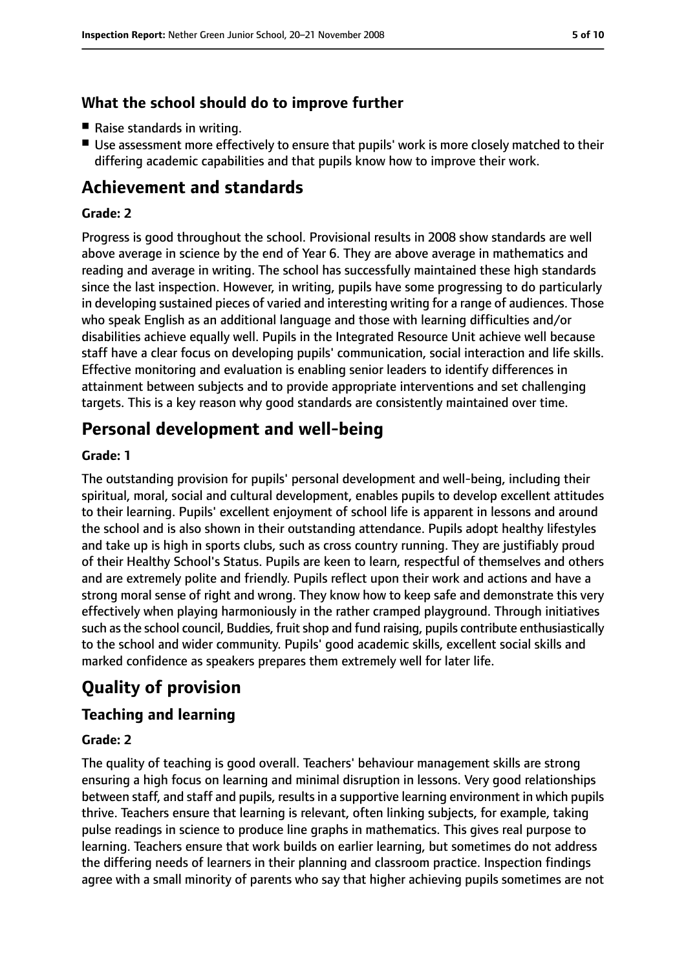# **What the school should do to improve further**

- Raise standards in writing.
- Use assessment more effectively to ensure that pupils' work is more closely matched to their differing academic capabilities and that pupils know how to improve their work.

# **Achievement and standards**

## **Grade: 2**

Progress is good throughout the school. Provisional results in 2008 show standards are well above average in science by the end of Year 6. They are above average in mathematics and reading and average in writing. The school has successfully maintained these high standards since the last inspection. However, in writing, pupils have some progressing to do particularly in developing sustained pieces of varied and interesting writing for a range of audiences. Those who speak English as an additional language and those with learning difficulties and/or disabilities achieve equally well. Pupils in the Integrated Resource Unit achieve well because staff have a clear focus on developing pupils' communication, social interaction and life skills. Effective monitoring and evaluation is enabling senior leaders to identify differences in attainment between subjects and to provide appropriate interventions and set challenging targets. This is a key reason why good standards are consistently maintained over time.

# **Personal development and well-being**

#### **Grade: 1**

The outstanding provision for pupils' personal development and well-being, including their spiritual, moral, social and cultural development, enables pupils to develop excellent attitudes to their learning. Pupils' excellent enjoyment of school life is apparent in lessons and around the school and is also shown in their outstanding attendance. Pupils adopt healthy lifestyles and take up is high in sports clubs, such as cross country running. They are justifiably proud of their Healthy School's Status. Pupils are keen to learn, respectful of themselves and others and are extremely polite and friendly. Pupils reflect upon their work and actions and have a strong moral sense of right and wrong. They know how to keep safe and demonstrate this very effectively when playing harmoniously in the rather cramped playground. Through initiatives such as the school council, Buddies, fruit shop and fund raising, pupils contribute enthusiastically to the school and wider community. Pupils' good academic skills, excellent social skills and marked confidence as speakers prepares them extremely well for later life.

# **Quality of provision**

# **Teaching and learning**

## **Grade: 2**

The quality of teaching is good overall. Teachers' behaviour management skills are strong ensuring a high focus on learning and minimal disruption in lessons. Very good relationships between staff, and staff and pupils, results in a supportive learning environment in which pupils thrive. Teachers ensure that learning is relevant, often linking subjects, for example, taking pulse readings in science to produce line graphs in mathematics. This gives real purpose to learning. Teachers ensure that work builds on earlier learning, but sometimes do not address the differing needs of learners in their planning and classroom practice. Inspection findings agree with a small minority of parents who say that higher achieving pupils sometimes are not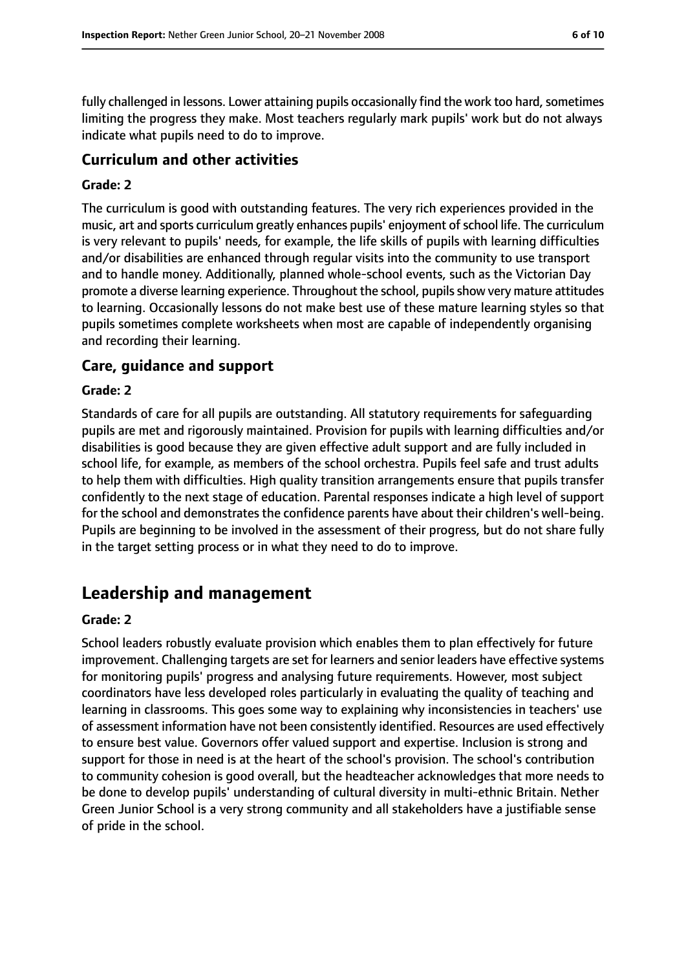fully challenged in lessons. Lower attaining pupils occasionally find the work too hard, sometimes limiting the progress they make. Most teachers regularly mark pupils' work but do not always indicate what pupils need to do to improve.

## **Curriculum and other activities**

#### **Grade: 2**

The curriculum is good with outstanding features. The very rich experiences provided in the music, art and sports curriculum greatly enhances pupils' enjoyment of school life. The curriculum is very relevant to pupils' needs, for example, the life skills of pupils with learning difficulties and/or disabilities are enhanced through regular visits into the community to use transport and to handle money. Additionally, planned whole-school events, such as the Victorian Day promote a diverse learning experience. Throughout the school, pupils show very mature attitudes to learning. Occasionally lessons do not make best use of these mature learning styles so that pupils sometimes complete worksheets when most are capable of independently organising and recording their learning.

#### **Care, guidance and support**

#### **Grade: 2**

Standards of care for all pupils are outstanding. All statutory requirements for safeguarding pupils are met and rigorously maintained. Provision for pupils with learning difficulties and/or disabilities is good because they are given effective adult support and are fully included in school life, for example, as members of the school orchestra. Pupils feel safe and trust adults to help them with difficulties. High quality transition arrangements ensure that pupils transfer confidently to the next stage of education. Parental responses indicate a high level of support for the school and demonstrates the confidence parents have about their children's well-being. Pupils are beginning to be involved in the assessment of their progress, but do not share fully in the target setting process or in what they need to do to improve.

# **Leadership and management**

#### **Grade: 2**

School leaders robustly evaluate provision which enables them to plan effectively for future improvement. Challenging targets are set for learners and senior leaders have effective systems for monitoring pupils' progress and analysing future requirements. However, most subject coordinators have less developed roles particularly in evaluating the quality of teaching and learning in classrooms. This goes some way to explaining why inconsistencies in teachers' use of assessment information have not been consistently identified. Resources are used effectively to ensure best value. Governors offer valued support and expertise. Inclusion is strong and support for those in need is at the heart of the school's provision. The school's contribution to community cohesion is good overall, but the headteacher acknowledges that more needs to be done to develop pupils' understanding of cultural diversity in multi-ethnic Britain. Nether Green Junior School is a very strong community and all stakeholders have a justifiable sense of pride in the school.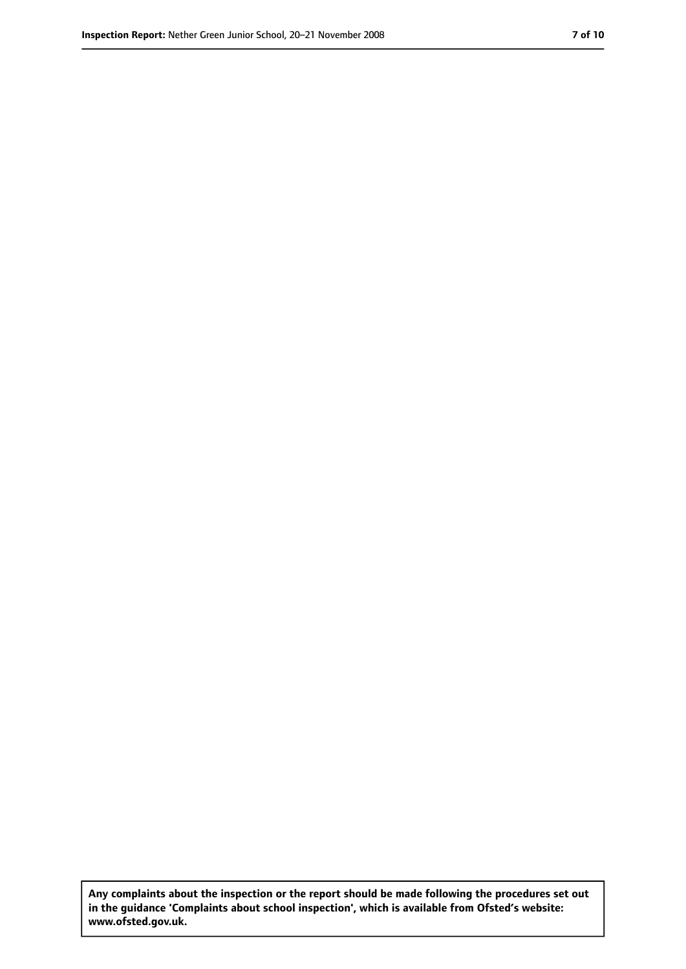**Any complaints about the inspection or the report should be made following the procedures set out in the guidance 'Complaints about school inspection', which is available from Ofsted's website: www.ofsted.gov.uk.**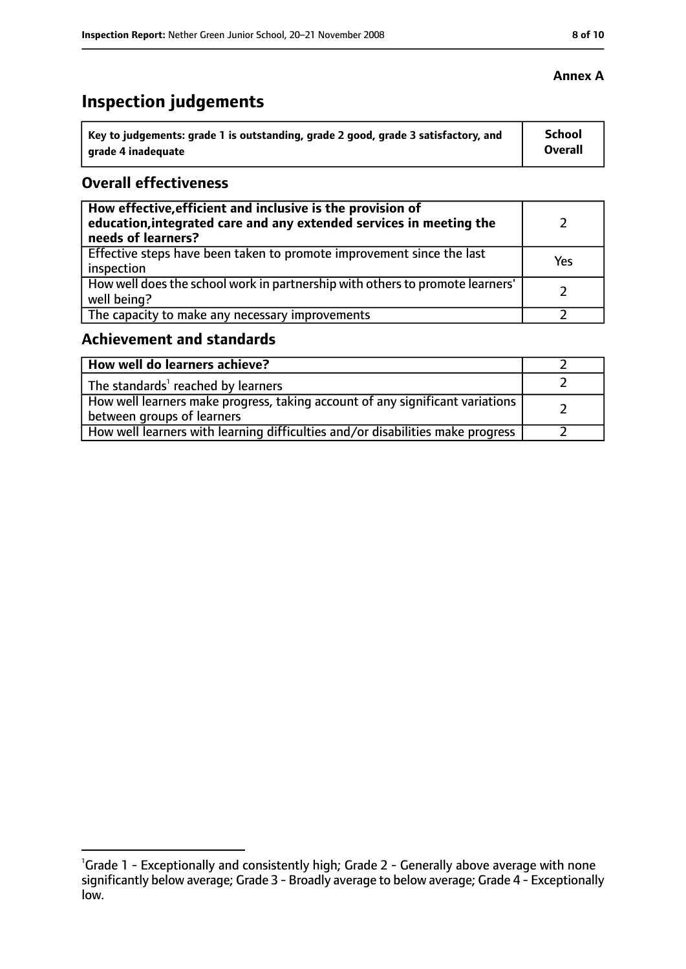# **Inspection judgements**

| Key to judgements: grade 1 is outstanding, grade 2 good, grade 3 satisfactory, and | <b>School</b>  |
|------------------------------------------------------------------------------------|----------------|
| arade 4 inadequate                                                                 | <b>Overall</b> |

## **Overall effectiveness**

| How effective, efficient and inclusive is the provision of<br>education, integrated care and any extended services in meeting the<br>needs of learners? |     |
|---------------------------------------------------------------------------------------------------------------------------------------------------------|-----|
| Effective steps have been taken to promote improvement since the last<br>inspection                                                                     | Yes |
| How well does the school work in partnership with others to promote learners'<br>well being?                                                            |     |
| The capacity to make any necessary improvements                                                                                                         |     |

# **Achievement and standards**

| How well do learners achieve?                                                                                 |  |
|---------------------------------------------------------------------------------------------------------------|--|
| $\vert$ The standards <sup>1</sup> reached by learners                                                        |  |
| How well learners make progress, taking account of any significant variations  <br>between groups of learners |  |
| How well learners with learning difficulties and/or disabilities make progress                                |  |

## **Annex A**

<sup>&</sup>lt;sup>1</sup>Grade 1 - Exceptionally and consistently high; Grade 2 - Generally above average with none significantly below average; Grade 3 - Broadly average to below average; Grade 4 - Exceptionally low.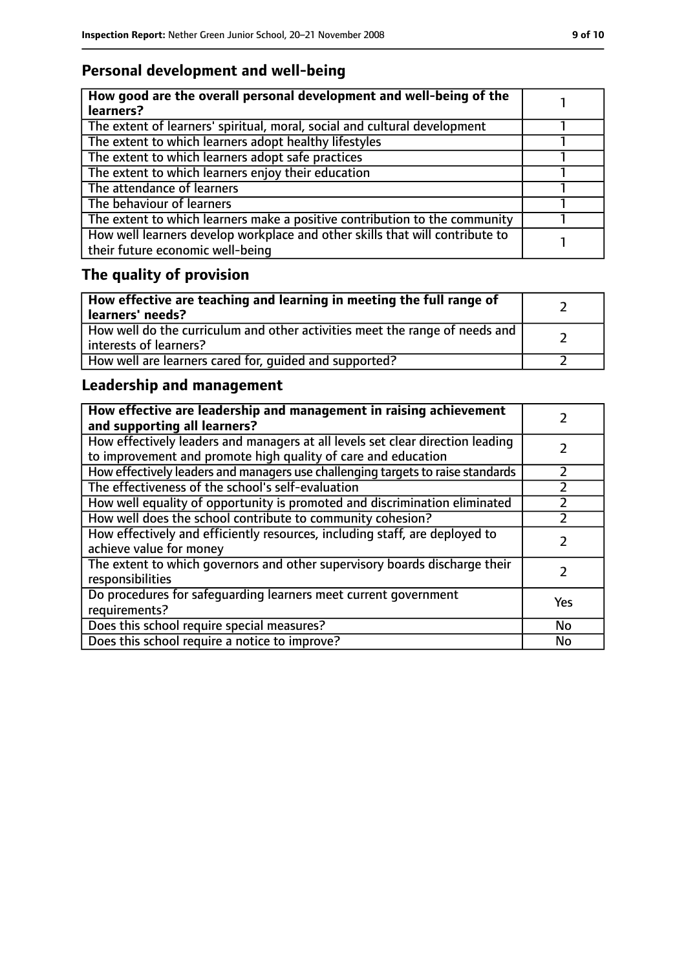# **Personal development and well-being**

| How good are the overall personal development and well-being of the<br>learners? |  |
|----------------------------------------------------------------------------------|--|
|                                                                                  |  |
| The extent of learners' spiritual, moral, social and cultural development        |  |
| The extent to which learners adopt healthy lifestyles                            |  |
| The extent to which learners adopt safe practices                                |  |
| The extent to which learners enjoy their education                               |  |
| The attendance of learners                                                       |  |
| The behaviour of learners                                                        |  |
| The extent to which learners make a positive contribution to the community       |  |
| How well learners develop workplace and other skills that will contribute to     |  |
| their future economic well-being                                                 |  |

# **The quality of provision**

| How effective are teaching and learning in meeting the full range of<br>learners' needs?              |  |
|-------------------------------------------------------------------------------------------------------|--|
| How well do the curriculum and other activities meet the range of needs and<br>interests of learners? |  |
| How well are learners cared for, quided and supported?                                                |  |

# **Leadership and management**

| How effective are leadership and management in raising achievement<br>and supporting all learners?                                              |           |
|-------------------------------------------------------------------------------------------------------------------------------------------------|-----------|
| How effectively leaders and managers at all levels set clear direction leading<br>to improvement and promote high quality of care and education |           |
| How effectively leaders and managers use challenging targets to raise standards                                                                 | フ         |
| The effectiveness of the school's self-evaluation                                                                                               |           |
| How well equality of opportunity is promoted and discrimination eliminated                                                                      |           |
| How well does the school contribute to community cohesion?                                                                                      |           |
| How effectively and efficiently resources, including staff, are deployed to<br>achieve value for money                                          |           |
| The extent to which governors and other supervisory boards discharge their<br>responsibilities                                                  |           |
| Do procedures for safequarding learners meet current government<br>requirements?                                                                | Yes       |
| Does this school require special measures?                                                                                                      | <b>No</b> |
| Does this school require a notice to improve?                                                                                                   | No        |